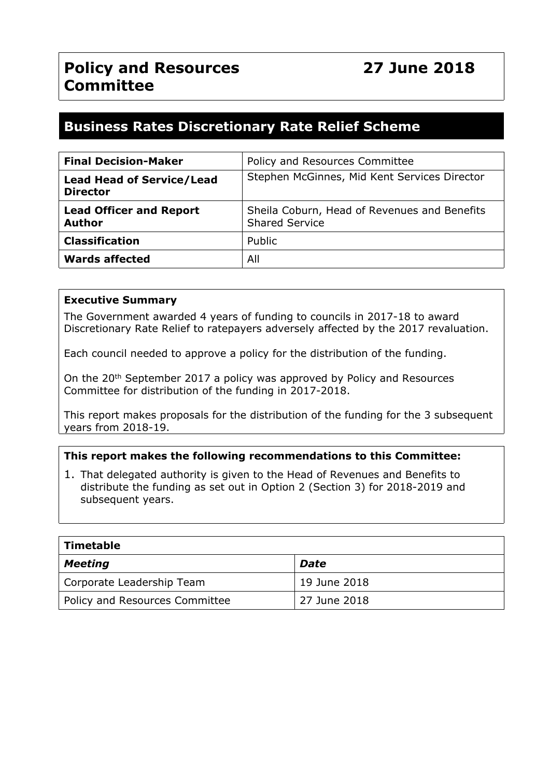# **Business Rates Discretionary Rate Relief Scheme**

| <b>Final Decision-Maker</b>                         | Policy and Resources Committee                                        |  |
|-----------------------------------------------------|-----------------------------------------------------------------------|--|
| <b>Lead Head of Service/Lead</b><br><b>Director</b> | Stephen McGinnes, Mid Kent Services Director                          |  |
| <b>Lead Officer and Report</b><br><b>Author</b>     | Sheila Coburn, Head of Revenues and Benefits<br><b>Shared Service</b> |  |
| <b>Classification</b>                               | Public                                                                |  |
| <b>Wards affected</b>                               | All                                                                   |  |

#### **Executive Summary**

The Government awarded 4 years of funding to councils in 2017-18 to award Discretionary Rate Relief to ratepayers adversely affected by the 2017 revaluation.

Each council needed to approve a policy for the distribution of the funding.

On the 20<sup>th</sup> September 2017 a policy was approved by Policy and Resources Committee for distribution of the funding in 2017-2018.

This report makes proposals for the distribution of the funding for the 3 subsequent years from 2018-19.

### **This report makes the following recommendations to this Committee:**

1. That delegated authority is given to the Head of Revenues and Benefits to distribute the funding as set out in Option 2 (Section 3) for 2018-2019 and subsequent years.

| <b>Timetable</b>               |              |  |
|--------------------------------|--------------|--|
| <b>Meeting</b>                 | <b>Date</b>  |  |
| Corporate Leadership Team      | 19 June 2018 |  |
| Policy and Resources Committee | 27 June 2018 |  |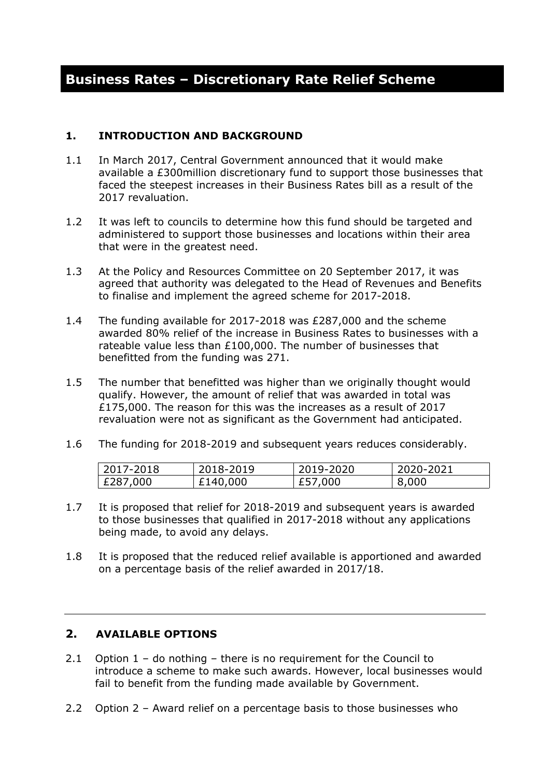# **Business Rates – Discretionary Rate Relief Scheme**

#### **1. INTRODUCTION AND BACKGROUND**

- 1.1 In March 2017, Central Government announced that it would make available a £300million discretionary fund to support those businesses that faced the steepest increases in their Business Rates bill as a result of the 2017 revaluation.
- 1.2 It was left to councils to determine how this fund should be targeted and administered to support those businesses and locations within their area that were in the greatest need.
- 1.3 At the Policy and Resources Committee on 20 September 2017, it was agreed that authority was delegated to the Head of Revenues and Benefits to finalise and implement the agreed scheme for 2017-2018.
- 1.4 The funding available for 2017-2018 was £287,000 and the scheme awarded 80% relief of the increase in Business Rates to businesses with a rateable value less than £100,000. The number of businesses that benefitted from the funding was 271.
- 1.5 The number that benefitted was higher than we originally thought would qualify. However, the amount of relief that was awarded in total was £175,000. The reason for this was the increases as a result of 2017 revaluation were not as significant as the Government had anticipated.
- 1.6 The funding for 2018-2019 and subsequent years reduces considerably.

| 2017-2018 | 2018-2019 | 2019-2020 | 2020-2021 |
|-----------|-----------|-----------|-----------|
| £287,000  | £140,000  | £57,000   | 8,000     |

- 1.7 It is proposed that relief for 2018-2019 and subsequent years is awarded to those businesses that qualified in 2017-2018 without any applications being made, to avoid any delays.
- 1.8 It is proposed that the reduced relief available is apportioned and awarded on a percentage basis of the relief awarded in 2017/18.

## **2. AVAILABLE OPTIONS**

- 2.1 Option  $1 -$  do nothing there is no requirement for the Council to introduce a scheme to make such awards. However, local businesses would fail to benefit from the funding made available by Government.
- 2.2 Option 2 Award relief on a percentage basis to those businesses who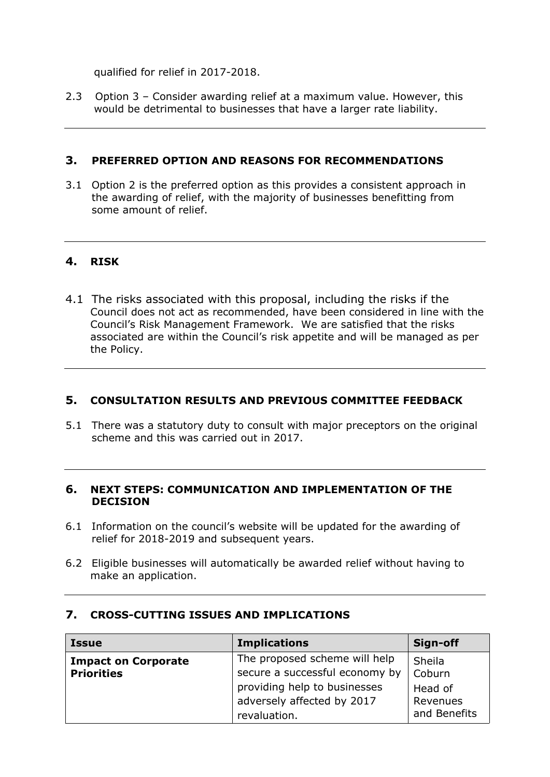qualified for relief in 2017-2018.

2.3 Option 3 – Consider awarding relief at a maximum value. However, this would be detrimental to businesses that have a larger rate liability.

### **3. PREFERRED OPTION AND REASONS FOR RECOMMENDATIONS**

3.1 Option 2 is the preferred option as this provides a consistent approach in the awarding of relief, with the majority of businesses benefitting from some amount of relief.

## **4. RISK**

4.1 The risks associated with this proposal, including the risks if the Council does not act as recommended, have been considered in line with the Council's Risk Management Framework. We are satisfied that the risks associated are within the Council's risk appetite and will be managed as per the Policy.

## **5. CONSULTATION RESULTS AND PREVIOUS COMMITTEE FEEDBACK**

5.1 There was a statutory duty to consult with major preceptors on the original scheme and this was carried out in 2017.

#### **6. NEXT STEPS: COMMUNICATION AND IMPLEMENTATION OF THE DECISION**

- 6.1 Information on the council's website will be updated for the awarding of relief for 2018-2019 and subsequent years.
- 6.2 Eligible businesses will automatically be awarded relief without having to make an application.

| <b>Issue</b>               | <b>Implications</b>            | Sign-off     |
|----------------------------|--------------------------------|--------------|
| <b>Impact on Corporate</b> | The proposed scheme will help  | Sheila       |
| <b>Priorities</b>          | secure a successful economy by | Coburn       |
|                            | providing help to businesses   | Head of      |
|                            | adversely affected by 2017     | Revenues     |
|                            | revaluation.                   | and Benefits |

### **7. CROSS-CUTTING ISSUES AND IMPLICATIONS**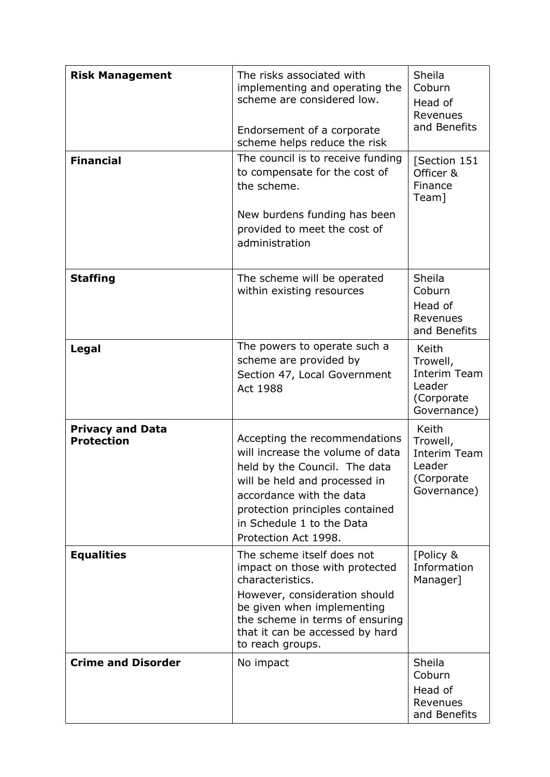| <b>Risk Management</b><br><b>Financial</b>   | The risks associated with<br>implementing and operating the<br>scheme are considered low.<br>Endorsement of a corporate<br>scheme helps reduce the risk<br>The council is to receive funding<br>to compensate for the cost of<br>the scheme.<br>New burdens funding has been<br>provided to meet the cost of<br>administration | Sheila<br>Coburn<br>Head of<br>Revenues<br>and Benefits<br>[Section 151<br>Officer &<br>Finance<br>Team] |
|----------------------------------------------|--------------------------------------------------------------------------------------------------------------------------------------------------------------------------------------------------------------------------------------------------------------------------------------------------------------------------------|----------------------------------------------------------------------------------------------------------|
| <b>Staffing</b>                              | The scheme will be operated<br>within existing resources                                                                                                                                                                                                                                                                       | Sheila<br>Coburn<br>Head of<br>Revenues<br>and Benefits                                                  |
| Legal                                        | The powers to operate such a<br>scheme are provided by<br>Section 47, Local Government<br>Act 1988                                                                                                                                                                                                                             | Keith<br>Trowell,<br>Interim Team<br>Leader<br>(Corporate<br>Governance)                                 |
| <b>Privacy and Data</b><br><b>Protection</b> | Accepting the recommendations<br>will increase the volume of data<br>held by the Council. The data<br>will be held and processed in<br>accordance with the data<br>protection principles contained<br>in Schedule 1 to the Data<br>Protection Act 1998.                                                                        | Keith<br>Trowell,<br><b>Interim Team</b><br>Leader<br>(Corporate<br>Governance)                          |
| <b>Equalities</b>                            | The scheme itself does not<br>impact on those with protected<br>characteristics.<br>However, consideration should<br>be given when implementing<br>the scheme in terms of ensuring<br>that it can be accessed by hard<br>to reach groups.                                                                                      | [Policy &<br>Information<br>Manager]                                                                     |
| <b>Crime and Disorder</b>                    | No impact                                                                                                                                                                                                                                                                                                                      | Sheila<br>Coburn<br>Head of<br>Revenues<br>and Benefits                                                  |